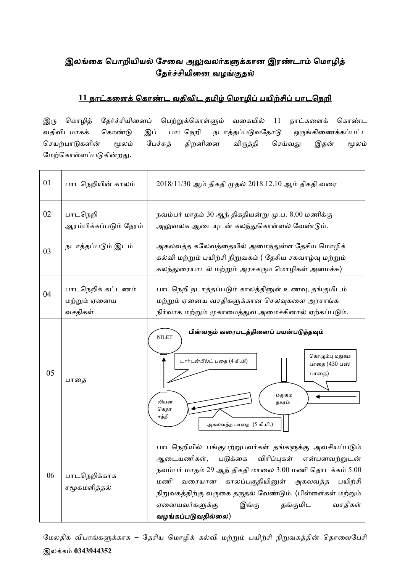## <u>இலங்கை பொறியியல் சேவை அலுவலர்களுக்கான இரண்டாம் மொழித்</u> <u>தேர்ச்சியினை வழங்குதல்</u>

## <u>11 நாட்களைக் கொண்ட வதிவிட தமிழ் மொழிப் பயிற்சிப் பாடநெறி</u>

இரு மொழித் தேர்ச்சியினைப் பெற்றுக்கொள்ளும் வகையில் 11 நாட்களைக் கொண்ட வதிவிடமாகக் கொண்டு இப் பாடநெறி நடாத்தப்படுவதோடு ஒருங்கிணைக்கப்பட்ட செயற்பாடுகளின் மூலம் பேச்சுத் திறனினை விருத்தி செய்வது இதன் மூலம் மேற்கொள்ளப்படுகின்றது.

| 01 | பாடநெறியின் காலம்                            | 2018/11/30 ஆம் திகதி முதல் 2018.12.10 ஆம் திகதி வரை                                                                                                                                                                                                                                                                                                            |  |  |  |  |
|----|----------------------------------------------|----------------------------------------------------------------------------------------------------------------------------------------------------------------------------------------------------------------------------------------------------------------------------------------------------------------------------------------------------------------|--|--|--|--|
| 02 | பாடநெறி<br>ஆரம்பிக்கப்படும் நேரம்            | நவம்பர் மாதம் 30 ஆந் திகதியன்று மு.ப. 8.00 மணிக்கு<br>அலுவலக ஆடையுடன் கலந்துகொள்ளல் வேண்டும்.                                                                                                                                                                                                                                                                  |  |  |  |  |
| 03 | நடாத்தப்படும் இடம்                           | அகலவத்த கலேவத்தையில் அமைந்துள்ள தேசிய மொழிக்<br>கல்வி மற்றும் பயிற்சி நிறுவகம் ( தேசிய சகவாழ்வு மற்றும்<br>கலந்துரையாடல் மற்றும் அரசகரும மொழிகள் அமைச்சு)                                                                                                                                                                                                      |  |  |  |  |
| 04 | பாடநெறிக் கட்டணம்<br>மற்றும் ஏனைய<br>வசதிகள் | பாடநெறி நடாத்தப்படும் காலத்தினுள் உணவு, தங்குமிடம்<br>மற்றும் ஏனைய வசதிகளுக்கான செலவுகளை அரசாங்க<br>நிர்வாக மற்றும் முகாமைத்துவ அமைச்சினால் ஏற்கப்படும்.                                                                                                                                                                                                       |  |  |  |  |
| 05 | பாதை                                         | பின்வரும் வரைபடத்தினைப் பயன்படுத்தவும்<br><b>NILET</b><br>கொழும்பு மதுகம<br>டார்டன்பீல்ட் பதை (4 கி.மி)<br>பாதை (430 பஸ்<br>பாதை)<br>மதுகம<br>லியன<br>நகரம்<br>கெதர<br>சந்தி<br>அகலவத்த பாதை (5 கி.மி.)                                                                                                                                                        |  |  |  |  |
| 06 | பாடநெறிக்காக<br>சமூகமளித்தல்                 | பாடநெறியில் பங்குபற்றுபவர்கள் தங்களுக்கு அவசியப்படும்<br>ஆடையணிகள், படுக்கை<br>விரிப்புகள்<br>என்பனவற்றுடன்<br>நவம்பர் மாதம் 29 ஆந் திகதி மாலை 3.00 மணி தொடக்கம் 5.00<br>காலப்பகுதியினுள் அகலவத்த பயிற்சி<br>மணி<br>வரையான<br>நிறுவகத்திற்கு வருகை தருதல் வேண்டும். (பிள்ளைகள் மற்றும்<br>வசதிகள்<br>ஏனையவர்களுக்கு<br>இங்கு<br>தங்குமிட<br>வழங்கப்படுவதில்லை) |  |  |  |  |

மேலதிக விபரங்களுக்காக – தேசிய மொழிக் கல்வி மற்றும் பயிற்சி நிறுவகத்தின் தொலைபேசி இலக்ைம் **0343944352**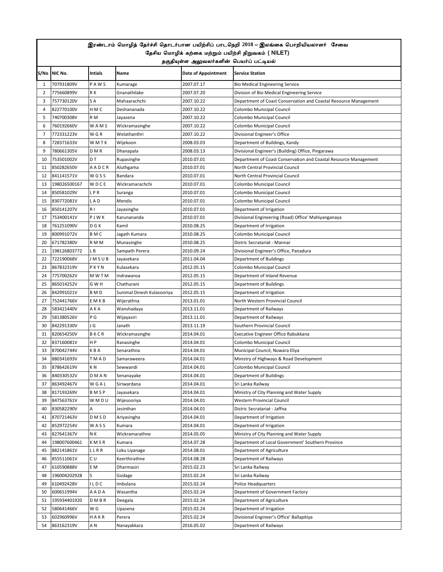|                | இரண்டாம் மொழித் தேர்ச்சி தொடர்பான பயிற்சிப் பாடநெறி 2018 – இலங்கை பொறியியலாளர் சேவை |                |                            |                                          |                                                                  |  |  |  |
|----------------|-------------------------------------------------------------------------------------|----------------|----------------------------|------------------------------------------|------------------------------------------------------------------|--|--|--|
|                | தேசிய மொழிக் கற்கை மற்றும் பயிற்சி நிறுவகம் ( NILET)                                |                |                            |                                          |                                                                  |  |  |  |
|                |                                                                                     |                |                            | தகுதியுள்ள அலுவலர்களின் பெயர்ப் பட்டியல் |                                                                  |  |  |  |
|                | S/No NIC No.                                                                        | <b>Intials</b> | Name                       | Date of Appointment                      | <b>Service Station</b>                                           |  |  |  |
| 1              | 707931809V                                                                          | PAWS           | Kumarage                   | 2007.07.17                               | <b>Bio Medical Engineering Service</b>                           |  |  |  |
| $\overline{2}$ | 775660899V                                                                          | R K            | Gnanathilake               | 2007.07.20                               | Division of Bio Medical Engineering Service                      |  |  |  |
| 3              | 757730120V                                                                          | S A            | Mahaarachchi               | 2007.10.22                               | Department of Coast Conservation and Coastal Resource Management |  |  |  |
| 4              | 822770100V                                                                          | HMC            | Deshananada                | 2007.10.22                               | Colombo Municipal Council                                        |  |  |  |
| 5              | 740700308V                                                                          | R M            | Jayasena                   | 2007.10.22                               | Colombo Municipal Council                                        |  |  |  |
| 6              | 760192660V                                                                          | WAMS           | Wickramasinghe             | 2007.10.22                               | Colombo Municipal Council                                        |  |  |  |
| 7              | 772331223V                                                                          | W G R          | Welathanthri               | 2007.10.22                               | Divisional Engineer's Office                                     |  |  |  |
| 8              | 728371633V                                                                          | W M T K        | Wijekoon                   | 2008.03.03                               | Department of Buildings, Kandy                                   |  |  |  |
| 9              | 780661305V                                                                          | D M R          | Dhanapala                  | 2008.03.13                               | Divisional Engineer's (Building) Office, Pingarawa               |  |  |  |
| 10             | 753501002V                                                                          | D T            | Rupasinghe                 | 2010.07.01                               | Department of Coast Conservation and Coastal Resource Management |  |  |  |
| 11             | 850282650V                                                                          | AADCR          | Aluthgama                  | 2010.07.01                               | North Central Provincial Council                                 |  |  |  |
| 12             | 841141571V                                                                          | WGSS           | Bandara                    | 2010.07.01                               | North Central Provincial Council                                 |  |  |  |
| 13             | 198026500167                                                                        | WDCE           | Wickramarachchi            | 2010.07.01                               | Colombo Municipal Council                                        |  |  |  |
| 14             | 850581029V                                                                          | <b>LPR</b>     | Suranga                    | 2010.07.01                               | Colombo Municipal Council                                        |  |  |  |
| 15             | 830772081V                                                                          | LAD            | Mendis                     | 2010.07.01                               | Colombo Municipal Council                                        |  |  |  |
| 16             | 850141207V                                                                          | R <sub>1</sub> | Jayasinghe                 | 2010.07.01                               | Department of Irrigation                                         |  |  |  |
| 17             | 753400141V                                                                          | PJWK           | Karunananda                | 2010.07.01                               | Divisional Engineering (Road) Office' Mahiyanganaya              |  |  |  |
| 18             | 761251090V                                                                          | D G K          | Kamil                      | 2010.08.25                               | Department of Irrigation                                         |  |  |  |
| 19             | 800991072V                                                                          | B M C          | Jagath Kumara              | 2010.08.25                               | Colombo Municipal Council                                        |  |  |  |
| 20             | 671782380V                                                                          | R M M          | Munasinghe                 | 2010.08.25                               | Distric Secratariat - Mannar                                     |  |  |  |
| 21             | 198126803772                                                                        | L B            | Sampath Perera             | 2010.09.24                               | Divisional Engineer's Office, Panadura                           |  |  |  |
| 22             | 722190068V                                                                          | JMSUB          | Jayasekara                 | 2011.04.04                               | Department of Buildings                                          |  |  |  |
| 23             | 867832319V                                                                          | PKYN           | Kulasekara                 | 2012.05.15                               | Colombo Municipal Council                                        |  |  |  |
| 24             | 775700262V                                                                          | <b>MWTM</b>    | Indrawansa                 | 2012.05.15                               | Department of Inland Revenue                                     |  |  |  |
| 25             | 865014252V                                                                          | G W H          | Chathurani                 | 2012.05.15                               | Department of Buildings                                          |  |  |  |
| 26             | 842991021V                                                                          | B M D          | Sunimal Dinesh Kulasooriya | 2012.05.15                               | Department of Irrigation                                         |  |  |  |
| 27             | 752441766V                                                                          | EMKB           | Wijerathna                 | 2013.01.01                               | North Western Provincial Council                                 |  |  |  |
| 28             | 583421440V                                                                          | AKA            | Wanshadaya                 | 2013.11.01                               | Department of Railways                                           |  |  |  |
| 29             | 581380526V                                                                          | ΡG             | Wijayasiri                 | 2013.11.01                               | Department of Railways                                           |  |  |  |
| 30             | 842291330V                                                                          | J G            | Janath                     | 2013.11.19                               | Southern Provincial Council                                      |  |  |  |
| 31             | 820654250V                                                                          | BKCR           | Wickramasinghe             | 2014.04.01                               | Execative Engineer Office Rabukkana                              |  |  |  |
| 32             | 837160081V                                                                          | H P            | Ranasinghe                 | 2014.04.01                               | Colombo Municipal Council                                        |  |  |  |
| 33             | 870042744V                                                                          | K B A          | Senarathna                 | 2014.04.01                               | Municipal Council, Nuwara Eliya                                  |  |  |  |
| 34             | 880341693V                                                                          | TMAD           | Samaraweera                | 2014.04.01                               | Ministry of Highways & Road Development                          |  |  |  |
| 35             | 878642619V                                                                          | K N            | Sewwandi                   | 2014.04.01                               | Colombo Municipal Council                                        |  |  |  |
| 36             | 840330532V                                                                          | <b>DMAN</b>    | Senanayake                 | 2014.04.01                               | Department of Buildings                                          |  |  |  |
| 37             | 863492467V                                                                          | WGAL           | Siriwardana                | 2014.04.01                               | Sri Lanka Railway                                                |  |  |  |
| 38             | 817193269V                                                                          | BMSP           | Jayasekara                 | 2014.04.01                               | Ministry of City Planning and Water Supply                       |  |  |  |
| 39             | 847563761V                                                                          | WMDU           | Wijesooriya                | 2014.04.01                               | Western Provincial Council                                       |  |  |  |
| 40             | 830582290V                                                                          | Α              | Jesinthan                  | 2014.04.01                               | Distric Secratariat - Jaffna                                     |  |  |  |
| 41             | 870721463V                                                                          | <b>DMSD</b>    | Ariyasingha                | 2014.04.01                               | Department of Irrigation                                         |  |  |  |
| 42             | 852972254V                                                                          | WASS           | Kumara                     | 2014.04.01                               | Department of Irrigation                                         |  |  |  |
| 43             | 827641367V                                                                          | NΚ             | Wickramarathne             | 2014.05.05                               | Ministry of City Planning and Water Supply                       |  |  |  |
| 44             | 198007600461                                                                        | KMSR           | Kumara                     | 2014.07.28                               | Department of Local Government' Southern Province                |  |  |  |
| 45             | 882141861V                                                                          | LLRR           | Loku Liyanage              | 2014.08.01                               | Department of Agriculture                                        |  |  |  |
| 46             | 855511061V                                                                          | C U            | Keerthirathne              | 2014.08.28                               | Department of Railways                                           |  |  |  |
| 47             | 610590888V                                                                          | E M            | Dharmasiri                 | 2015.02.23                               | Sri Lanka Railway                                                |  |  |  |
| 48             | 196004202928                                                                        | S              | Godage                     | 2015.02.24                               | Sri Lanka Railway                                                |  |  |  |
| 49             | 610492428V                                                                          | ILDC           | Imbulana                   | 2015.02.24                               | Police Headquarters                                              |  |  |  |
| 50             | 600651994V                                                                          | AADA           | Wasantha                   | 2015.02.24                               | Department of Government Factory                                 |  |  |  |
| 51             | 195934401920                                                                        | <b>DMBR</b>    | Deegala                    | 2015.02.24                               | Department of Agriculture                                        |  |  |  |
| 52             | 580641466V                                                                          | W G            | Upasena                    | 2015.02.24                               | Department of Irrigation                                         |  |  |  |
| 53             | 602960996V                                                                          | HAKR           | Perera                     | 2015.02.24                               | Divisional Engineer's Office' Ballapitiya                        |  |  |  |
| 54             | 863162319V                                                                          | ΑN             | Nanayakkara                | 2016.05.02                               | Department of Railways                                           |  |  |  |